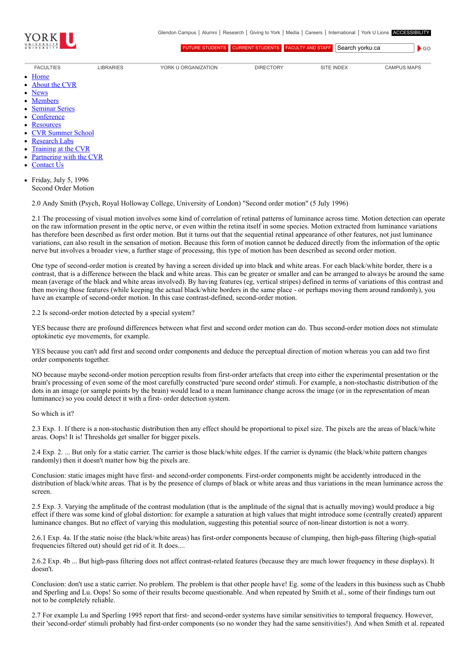

[FUTURE STUDENTS](http://futurestudents.yorku.ca/) [CURRENT STUDENTS](http://www.yorku.ca/yorkweb/cs.htm) [FACULTY AND STAFF](http://www.yorku.ca/yorkweb/fs.htm) Search vorku.ca

 $\bullet$  GO

- [FACULTIES](http://www.yorku.ca/yorkweb/faculties.htm) [LIBRARIES](http://www.library.yorku.ca/) [YORK U ORGANIZATION](http://www.yorku.ca/yorkweb/org.htm) [DIRECTORY](http://www.yorku.ca/yorkatlas) [SITE INDEX](http://www.yorku.ca/yorkweb/siteindex.htm) [CAMPUS MAPS](http://www.yorku.ca/yorkweb/maps/)
- $\bullet$ **[Home](file:///C:/)**
- [About the CVR](file:///C:/content/about-cvr)
- [News](file:///C:/newslatest)
- $\bullet$ **[Members](file:///C:/category/faculty/york-faculty)**
- [Seminar Series](file:///C:/content/seminar-series)  $\bullet$
- $\bullet$ **[Conference](file:///C:/conferencearchive)**
- **[Resources](file:///C:/content/resources)**  $\bullet$
- [CVR Summer School](http://cvrss.info.yorku.ca/)
- [Research Labs](file:///C:/content/research-labs)
- [Training at the CVR](file:///C:/content/training-cvr-0)
- [Partnering with the CVR](file:///C:/content/partnering-cvr-0)  $\bullet$
- [Contact Us](file:///C:/content/contact-cvr)
- Friday, July 5, 1996  $\bullet$ Second Order Motion

2.0 Andy Smith (Psych, Royal Holloway College, University of London) "Second order motion" (5 July 1996)

2.1 The processing of visual motion involves some kind of correlation of retinal patterns of luminance across time. Motion detection can operate on the raw information present in the optic nerve, or even within the retina itself in some species. Motion extracted from luminance variations has therefore been described as first order motion. But it turns out that the sequential retinal appearance of other features, not just luminance variations, can also result in the sensation of motion. Because this form of motion cannot be deduced directly from the information of the optic nerve but involves a broader view, a further stage of processing, this type of motion has been described as second order motion.

One type of second-order motion is created by having a screen divided up into black and white areas. For each black/white border, there is a contrast, that is a difference between the black and white areas. This can be greater or smaller and can be arranged to always be around the same mean (average of the black and white areas involved). By having features (eg, vertical stripes) defined in terms of variations of this contrast and then moving those features (while keeping the actual black/white borders in the same place - or perhaps moving them around randomly), you have an example of second-order motion. In this case contrast-defined, second-order motion.

2.2 Is second-order motion detected by a special system?

YES because there are profound differences between what first and second order motion can do. Thus second-order motion does not stimulate optokinetic eye movements, for example.

YES because you can't add first and second order components and deduce the perceptual direction of motion whereas you can add two first order components together.

NO because maybe second-order motion perception results from first-order artefacts that creep into either the experimental presentation or the brain's processing of even some of the most carefully constructed 'pure second order' stimuli. For example, a non-stochastic distribution of the dots in an image (or sample points by the brain) would lead to a mean luminance change across the image (or in the representation of mean luminance) so you could detect it with a first- order detection system.

## So which is it?

2.3 Exp. 1. If there is a non-stochastic distribution then any effect should be proportional to pixel size. The pixels are the areas of black/white areas. Oops! It is! Thresholds get smaller for bigger pixels.

2.4 Exp. 2. ... But only for a static carrier. The carrier is those black/white edges. If the carrier is dynamic (the black/white pattern changes randomly) then it doesn't matter how big the pixels are.

Conclusion: static images might have first- and second-order components. First-order components might be accidently introduced in the distribution of black/white areas. That is by the presence of clumps of black or white areas and thus variations in the mean luminance across the screen.

2.5 Exp. 3. Varying the amplitude of the contrast modulation (that is the amplitude of the signal that is actually moving) would produce a big effect if there was some kind of global distortion: for example a saturation at high values that might introduce some (centrally created) apparent luminance changes. But no effect of varying this modulation, suggesting this potential source of non-linear distortion is not a worry.

2.6.1 Exp. 4a. If the static noise (the black/white areas) has first-order components because of clumping, then high-pass filtering (high-spatial frequencies filtered out) should get rid of it. It does....

2.6.2 Exp. 4b ... But high-pass filtering does not affect contrast-related features (because they are much lower frequency in these displays). It doesn't.

Conclusion: don't use a static carrier. No problem. The problem is that other people have! Eg. some of the leaders in this business such as Chubb and Sperling and Lu. Oops! So some of their results become questionable. And when repeated by Smith et al., some of their findings turn out not to be completely reliable.

2.7 For example Lu and Sperling 1995 report that first- and second-order systems have similar sensitivities to temporal frequency. However, their 'second-order' stimuli probably had first-order components (so no wonder they had the same sensitivities!). And when Smith et al. repeated